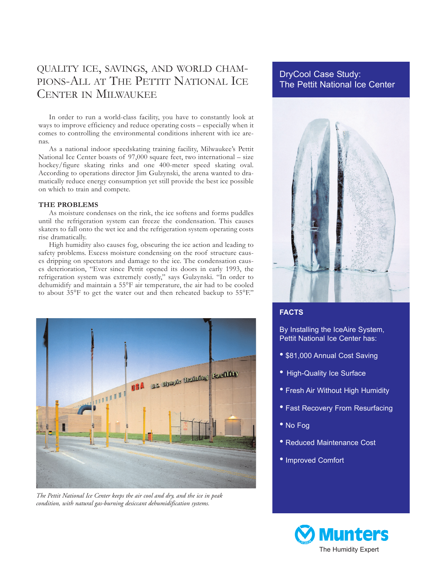# QUALITY ICE, SAVINGS, AND WORLD CHAM-PIONS-ALL AT THE PETTIT NATIONAL ICE CENTER IN MILWAUKEE

In order to run a world-class facility, you have to constantly look at ways to improve efficiency and reduce operating costs – especially when it comes to controlling the environmental conditions inherent with ice arenas.

As a national indoor speedskating training facility, Milwaukee's Pettit National Ice Center boasts of 97,000 square feet, two international – size hockey/figure skating rinks and one 400-meter speed skating oval. According to operations director Jim Gulzynski, the arena wanted to dramatically reduce energy consumption yet still provide the best ice possible on which to train and compete.

#### **THE PROBLEMS**

As moisture condenses on the rink, the ice softens and forms puddles until the refrigeration system can freeze the condensation. This causes skaters to fall onto the wet ice and the refrigeration system operating costs rise dramatically.

High humidity also causes fog, obscuring the ice action and leading to safety problems. Excess moisture condensing on the roof structure causes dripping on spectators and damage to the ice. The condensation causes deterioration, "Ever since Pettit opened its doors in early 1993, the refrigeration system was extremely costly," says Gulzynski. "In order to dehumidify and maintain a 55°F air temperature, the air had to be cooled to about  $35^{\circ}$ F to get the water out and then reheated backup to  $55^{\circ}$ F."



*The Pettit National Ice Center keeps the air cool and dry, and the ice in peak condition, with natural gas-burning desiccant dehumidification systems.*

# DryCool Case Study: The Pettit National Ice Center



## **FACTS**

By Installing the IceAire System, Pettit National Ice Center has:

- \$81,000 Annual Cost Saving
- High-Quality Ice Surface
- Fresh Air Without High Humidity
- Fast Recovery From Resurfacing
- No Fog
- Reduced Maintenance Cost
- Improved Comfort